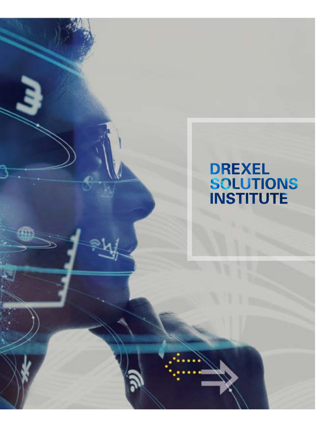# DREXEL<br>SOLUTIONS<br>INSTITUTE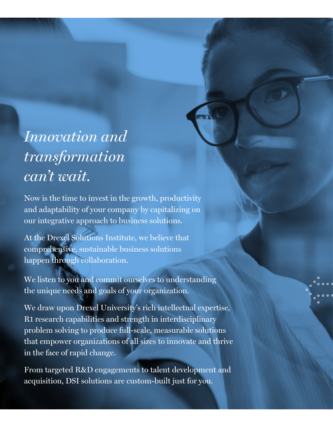#### *Innovation and transformation can't wait.*

Now is the time to invest in the growth, productivity and adaptability of your company by capitalizing on our integrative approach to business solutions.

At the Drexel Solutions Institute, we believe that comprehensive, sustainable business solutions happen through collaboration.

We listen to you and commit ourselves to understanding the unique needs and goals of your organization.

We draw upon Drexel University's rich intellectual expertise, R1 research capabilities and strength in interdisciplinary problem solving to produce full-scale, measurable solutions that empower organizations of all sizes to innovate and thrive in the face of rapid change.

From targeted R&D engagements to talent development and acquisition, DSI solutions are custom-built just for you.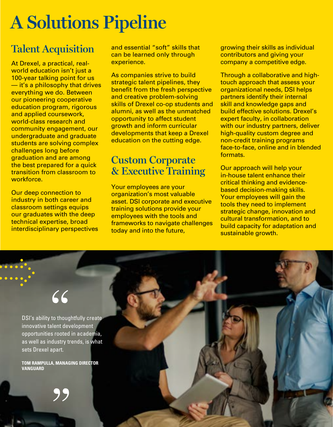# **A Solutions Pipeline**

#### **Talent Acquisition**

At Drexel, a practical, realworld education isn't just a 100-year talking point for us — it's a philosophy that drives everything we do. Between our pioneering cooperative education program, rigorous and applied coursework, world-class research and community engagement, our undergraduate and graduate students are solving complex challenges long before graduation and are among the best prepared for a quick transition from classroom to workforce.

Our deep connection to industry in both career and classroom settings equips our graduates with the deep technical expertise, broad interdisciplinary perspectives and essential "soft" skills that can be learned only through experience.

As companies strive to build strategic talent pipelines, they benefit from the fresh perspective and creative problem-solving skills of Drexel co-op students and alumni, as well as the unmatched opportunity to affect student growth and inform curricular developments that keep a Drexel education on the cutting edge.

#### **Custom Corporate & Executive Training**

Your employees are your organization's most valuable asset. DSI corporate and executive training solutions provide your employees with the tools and frameworks to navigate challenges today and into the future,

growing their skills as individual contributors and giving your company a competitive edge.

Through a collaborative and hightouch approach that assess your organizational needs, DSI helps partners identify their internal skill and knowledge gaps and build effective solutions. Drexel's expert faculty, in collaboration with our industry partners, deliver high-quality custom degree and non-credit training programs face-to-face, online and in blended formats.

Our approach will help your in-house talent enhance their critical thinking and evidencebased decision-making skills. Your employees will gain the tools they need to implement strategic change, innovation and cultural transformation, and to build capacity for adaptation and sustainable growth.

#### "

DSI's ability to thoughtfully create innovative talent development opportunities rooted in academia, as well as industry trends, is what sets Drexel apart.

**TOM RAMPULLA, MANAGING DIRECTOR VANGUARD**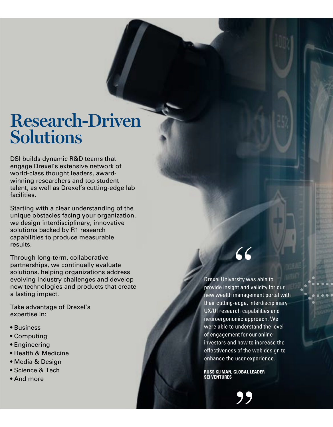#### **Research-Driven Solutions**

DSI builds dynamic R&D teams that engage Drexel's extensive network of world-class thought leaders, awardwinning researchers and top student talent, as well as Drexel's cutting-edge lab facilities.

Starting with a clear understanding of the unique obstacles facing your organization, we design interdisciplinary, innovative solutions backed by R1 research capabilities to produce measurable results.

Through long-term, collaborative partnerships, we continually evaluate solutions, helping organizations address evolving industry challenges and develop new technologies and products that create a lasting impact.

Take advantage of Drexel's expertise in:

- Business
- Computing
- Engineering
- Health & Medicine
- Media & Design
- Science & Tech
- And more

## 66

Drexel University was able to provide insight and validity for our new wealth management portal with their cutting-edge, interdisciplinary UX/UI research capabilities and neuroergonomic approach. We were able to understand the level of engagement for our online investors and how to increase the effectiveness of the web design to enhance the user experience. CC<br>
stity wa<br>
managee<br>
edge, in<br>
ch capa<br>
mic app<br>
underst for ou<br>
stof the user ex<br>
ELOBAL LI<br>
DP

**RUSS KLIMAN, GLOBAL LEADER SEI VENTURES**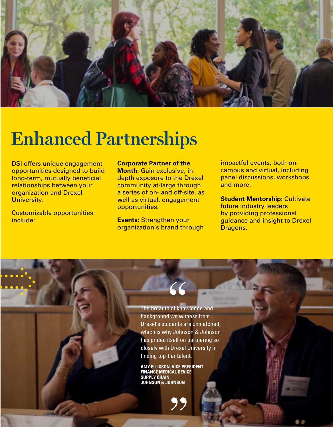

## **Enhanced Partnerships**

DSI offers unique engagement opportunities designed to build long-term, mutually beneficial relationships between your organization and Drexel University.

Customizable opportunities include:

**Corporate Partner of the Month:** Gain exclusive, indepth exposure to the Drexel community at-large through a series of on- and off-site, as well as virtual, engagement opportunities.

**Events:** Strengthen your organization's brand through impactful events, both oncampus and virtual, including panel discussions, workshops and more.

**Student Mentorship: Cultivate** future industry leaders by providing professional guidance and insight to Drexel Dragons.

The breadth of knowledge and background we witness from Drexel's students are unmatched, which is why Johnson & Johnson has prided itself on partnering so closely with Drexel University in finding top-tier talent.  $\begin{array}{c} \begin{array}{c} \begin{array}{\sqrt{2}} \\ \text{of know} \end{array} \end{array}$ 

**AMY ELLIXSON, VICE PRESIDENT FINANCE MEDICAL DEVICE SUPPLY CHAIN JOHNSON & JOHNSON**

95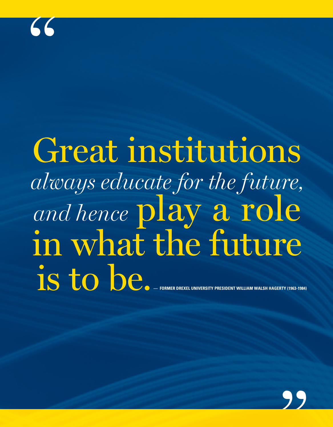# Great institutions *always educate for the future, and hence* play a role in what the future is to be.